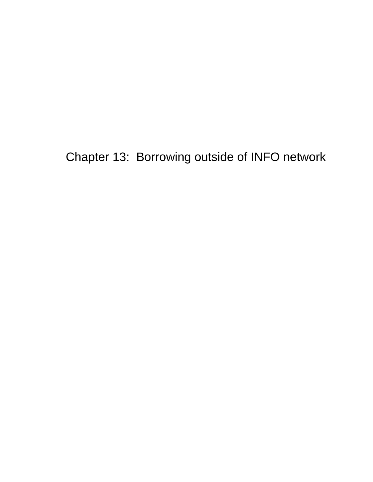Chapter 13: Borrowing outside of INFO network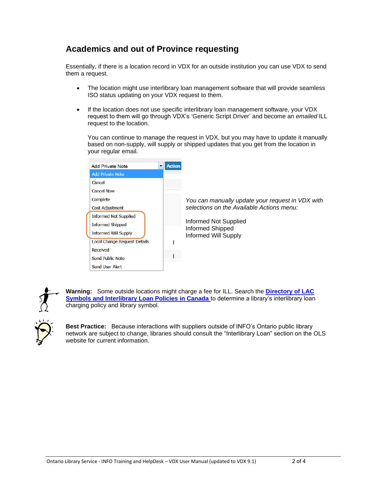## **Academics and out of Province requesting**

Essentially, if there is a location record in VDX for an outside institution you can use VDX to send them a request.

- The location might use interlibrary loan management software that will provide seamless ISO status updating on your VDX request to them.
- If the location does not use specific interlibrary loan management software, your VDX request to them will go through VDX's 'Generic Script Driver' and become an *emailed* ILL request to the location.

You can continue to manage the request in VDX, but you may have to update it manually based on non-supply, will supply or shipped updates that you get from the location in your regular email.





**Warning:** Some outside locations might charge a fee for ILL. Search the **[Directory of LAC](https://www.bac-lac.gc.ca/eng/symbols-interlibrary-loan-policies/Pages/symbols-interlibrary-loan-policies.aspx)  [Symbols and Interlibrary Loan Policies in Canada](https://www.bac-lac.gc.ca/eng/symbols-interlibrary-loan-policies/Pages/symbols-interlibrary-loan-policies.aspx)** to determine a library's interlibrary loan charging policy and library symbol.

**Best Practice:** Because interactions with suppliers outside of INFO's Ontario public library network are subject to change, libraries should consult the "Interlibrary Loan" section on the OLS website for current information.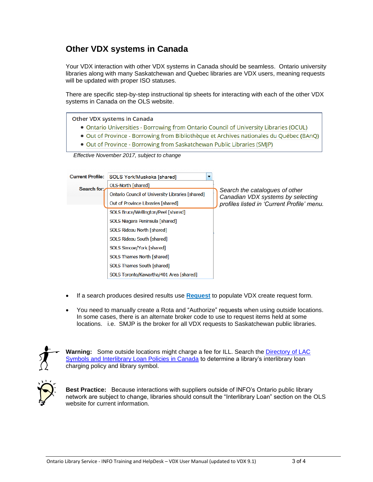## **Other VDX systems in Canada**

Your VDX interaction with other VDX systems in Canada should be seamless. Ontario university libraries along with many Saskatchewan and Quebec libraries are VDX users, meaning requests will be updated with proper ISO statuses.

There are specific step-by-step instructional tip sheets for interacting with each of the other VDX systems in Canada on the OLS website.

**Other VDX systems in Canada** 

- . Ontario Universities Borrowing from Ontario Council of University Libraries (OCUL)
- · Out of Province Borrowing from Bibliothèque et Archives nationales du Québec (BAnQ)
- . Out of Province Borrowing from Saskatchewan Public Libraries (SMJP)

 *Effective November 2017, subject to change*

| <b>Current Profile:</b> | SOLS York/Muskoka [shared]                       |                                                                     |
|-------------------------|--------------------------------------------------|---------------------------------------------------------------------|
| Search for:             | OLS-North [shared]                               |                                                                     |
|                         | Ontario Council of University Libraries [shared] | Search the catalogues of other<br>Canadian VDX systems by selecting |
|                         | Out of Province Libraries [shared]               | profiles listed in 'Current Profile' menu.                          |
|                         | SOLS Bruce/Wellington/Peel [shared]              |                                                                     |
|                         | SOLS Niagara Peninsula [shared]                  |                                                                     |
|                         | SOLS Rideau North [shared]                       |                                                                     |
|                         | SOLS Rideau South [shared]                       |                                                                     |
|                         | SOLS Simcoe/York [shared]                        |                                                                     |
|                         | SOLS Thames North [shared]                       |                                                                     |
|                         | SOLS Thames South [shared]                       |                                                                     |
|                         | SOLS Toronto/Kawartha/401 Area [shared]          |                                                                     |

- If a search produces desired results use **Request** to populate VDX create request form.
- You need to manually create a Rota and "Authorize" requests when using outside locations. In some cases, there is an alternate broker code to use to request items held at some locations. i.e. SMJP is the broker for all VDX requests to Saskatchewan public libraries.



**Warning:** Some outside locations might charge a fee for ILL. Search the [Directory of LAC](https://www.bac-lac.gc.ca/eng/symbols-interlibrary-loan-policies/Pages/symbols-interlibrary-loan-policies.aspx)  [Symbols and Interlibrary Loan Policies in Canada](https://www.bac-lac.gc.ca/eng/symbols-interlibrary-loan-policies/Pages/symbols-interlibrary-loan-policies.aspx) to determine a library's interlibrary loan charging policy and library symbol.



**Best Practice:** Because interactions with suppliers outside of INFO's Ontario public library network are subject to change, libraries should consult the "Interlibrary Loan" section on the OLS website for current information.